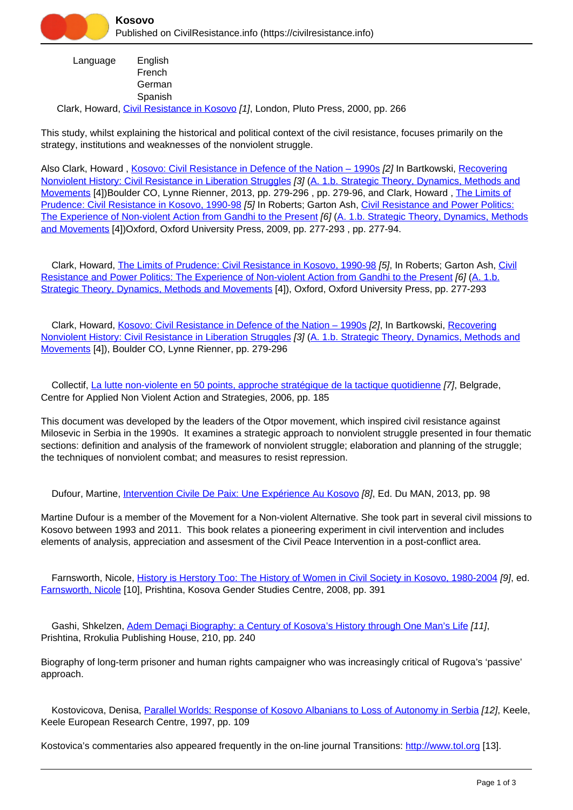

 Language Clark, Howard, [Civil Resistance in Kosovo](https://civilresistance.info/biblio-item/2000/civil-resistance-kosovo) [1], London, Pluto Press, 2000, pp. 266 English French **German** Spanish

This study, whilst explaining the historical and political context of the civil resistance, focuses primarily on the strategy, institutions and weaknesses of the nonviolent struggle.

Also Clark, Howard, Kosovo: Civil Resistance in Defence of the Nation - 1990s [2] In Bartkowski, [Recovering](https://civilresistance.info/biblio-item/2013/recovering-nonviolent-history-civil-resistance-liberation-struggles) [Nonviolent History: Civil Resistance in Liberation Struggles](https://civilresistance.info/biblio-item/2013/recovering-nonviolent-history-civil-resistance-liberation-struggles) [3] ([A. 1.b. Strategic Theory, Dynamics, Methods and](https://civilresistance.info/section/introduction-nonviolent-action/1-theory-methods-and-examples/1b-strategic-theory-dynamics) [Movements](https://civilresistance.info/section/introduction-nonviolent-action/1-theory-methods-and-examples/1b-strategic-theory-dynamics) [4])Boulder CO, Lynne Rienner, 2013, pp. 279-296 , pp. 279-96, and Clark, Howard , [The Limits of](https://civilresistance.info/biblio-item/2009/limits-prudence-civil-resistance-kosovo-1990-98) [Prudence: Civil Resistance in Kosovo, 1990-98](https://civilresistance.info/biblio-item/2009/limits-prudence-civil-resistance-kosovo-1990-98) [5] In Roberts; Garton Ash, [Civil Resistance and Power Politics:](https://civilresistance.info/biblio-item/2009/civil-resistance-and-power-politics-experience-non-violent-action-gandhi-present) [The Experience of Non-violent Action from Gandhi to the Present](https://civilresistance.info/biblio-item/2009/civil-resistance-and-power-politics-experience-non-violent-action-gandhi-present) [6] [\(A. 1.b. Strategic Theory, Dynamics, Methods](https://civilresistance.info/section/introduction-nonviolent-action/1-theory-methods-and-examples/1b-strategic-theory-dynamics) [and Movements](https://civilresistance.info/section/introduction-nonviolent-action/1-theory-methods-and-examples/1b-strategic-theory-dynamics) [4])Oxford, Oxford University Press, 2009, pp. 277-293 , pp. 277-94.

Clark, Howard, [The Limits of Prudence: Civil Resistance in Kosovo, 1990-98](https://civilresistance.info/biblio-item/2009/limits-prudence-civil-resistance-kosovo-1990-98) [5], In Roberts; Garton Ash, [Civil](https://civilresistance.info/biblio-item/2009/civil-resistance-and-power-politics-experience-non-violent-action-gandhi-present) [Resistance and Power Politics: The Experience of Non-violent Action from Gandhi to the Present](https://civilresistance.info/biblio-item/2009/civil-resistance-and-power-politics-experience-non-violent-action-gandhi-present) [6] [\(A. 1.b.](https://civilresistance.info/section/introduction-nonviolent-action/1-theory-methods-and-examples/1b-strategic-theory-dynamics) [Strategic Theory, Dynamics, Methods and Movements](https://civilresistance.info/section/introduction-nonviolent-action/1-theory-methods-and-examples/1b-strategic-theory-dynamics) [4]), Oxford, Oxford University Press, pp. 277-293

 Clark, Howard, [Kosovo: Civil Resistance in Defence of the Nation – 1990s](https://civilresistance.info/biblio-item/2013/kosovo-civil-resistance-defence-nation-1990s) [2], In Bartkowski, [Recovering](https://civilresistance.info/biblio-item/2013/recovering-nonviolent-history-civil-resistance-liberation-struggles) [Nonviolent History: Civil Resistance in Liberation Struggles](https://civilresistance.info/biblio-item/2013/recovering-nonviolent-history-civil-resistance-liberation-struggles) [3] ([A. 1.b. Strategic Theory, Dynamics, Methods and](https://civilresistance.info/section/introduction-nonviolent-action/1-theory-methods-and-examples/1b-strategic-theory-dynamics) [Movements](https://civilresistance.info/section/introduction-nonviolent-action/1-theory-methods-and-examples/1b-strategic-theory-dynamics) [4]), Boulder CO, Lynne Rienner, pp. 279-296

 Collectif, [La lutte non-violente en 50 points, approche stratégique de la tactique quotidienne](https://civilresistance.info/biblio-item/2006/la-lutte-non-violente-en-50-points-approche-strategique-de-la-tactique-quotidienne) [7], Belgrade, Centre for Applied Non Violent Action and Strategies, 2006, pp. 185

This document was developed by the leaders of the Otpor movement, which inspired civil resistance against Milosevic in Serbia in the 1990s. It examines a strategic approach to nonviolent struggle presented in four thematic sections: definition and analysis of the framework of nonviolent struggle; elaboration and planning of the struggle; the techniques of nonviolent combat; and measures to resist repression.

Dufour, Martine, [Intervention Civile De Paix: Une Expérience Au Kosovo](https://civilresistance.info/biblio-item/2013/intervention-civile-de-paix-une-experience-au-kosovo) [8], Ed. Du MAN, 2013, pp. 98

Martine Dufour is a member of the Movement for a Non-violent Alternative. She took part in several civil missions to Kosovo between 1993 and 2011. This book relates a pioneering experiment in civil intervention and includes elements of analysis, appreciation and assesment of the Civil Peace Intervention in a post-conflict area.

 Farnsworth, Nicole, [History is Herstory Too: The History of Women in Civil Society in Kosovo, 1980-2004](https://civilresistance.info/biblio-item/2008/history-herstory-too-history-women-civil-society-kosovo-1980-2004) [9], ed. [Farnsworth, Nicole](https://civilresistance.info/author/328) [10], Prishtina, Kosova Gender Studies Centre, 2008, pp. 391

Gashi, Shkelzen, Adem Demaci Biography: a Century of Kosova's History through One Man's Life [11], Prishtina, Rrokulia Publishing House, 210, pp. 240

Biography of long-term prisoner and human rights campaigner who was increasingly critical of Rugova's 'passive' approach.

 Kostovicova, Denisa, [Parallel Worlds: Response of Kosovo Albanians to Loss of Autonomy in Serbia](https://civilresistance.info/biblio-item/1997/parallel-worlds-response-kosovo-albanians-loss-autonomy-serbia) [12], Keele, Keele European Research Centre, 1997, pp. 109

Kostovica's commentaries also appeared frequently in the on-line journal Transitions: <http://www.tol.org> [13].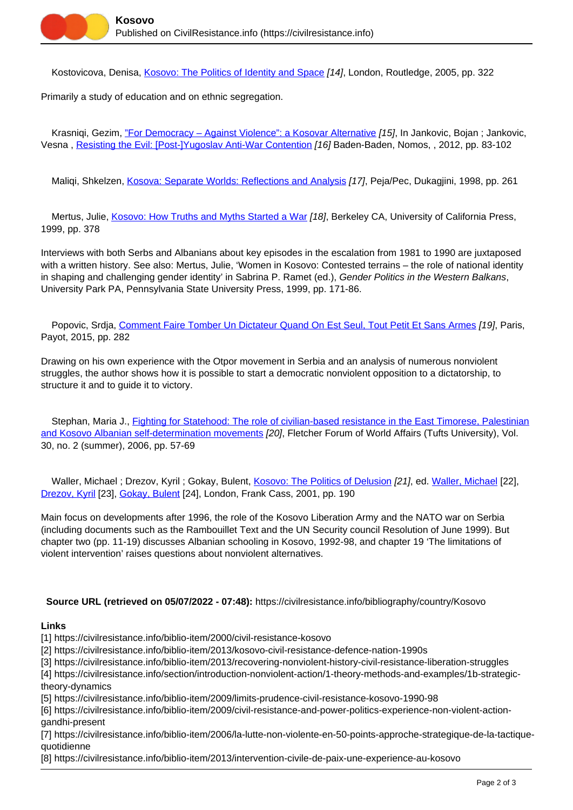Kostovicova, Denisa, [Kosovo: The Politics of Identity and Space](https://civilresistance.info/biblio-item/2005/kosovo-politics-identity-and-space) [14], London, Routledge, 2005, pp. 322

Primarily a study of education and on ethnic segregation.

Krasniqi, Gezim, ["For Democracy – Against Violence": a Kosovar Alternative](https://civilresistance.info/biblio-item/2012/democracy-against-violence-kosovar-alternative) [15], In Jankovic, Bojan ; Jankovic, Vesna , [Resisting the Evil: \[Post-\]Yugoslav Anti-War Contention](https://civilresistance.info/biblio-item/2012/resisting-evil-post-yugoslav-anti-war-contention) [16] Baden-Baden, Nomos, , 2012, pp. 83-102

Maliqi, Shkelzen, [Kosova: Separate Worlds: Reflections and Analysis](https://civilresistance.info/biblio-item/1998/kosova-separate-worlds-reflections-and-analysis) [17], Peja/Pec, Dukagjini, 1998, pp. 261

 Mertus, Julie, [Kosovo: How Truths and Myths Started a War](https://civilresistance.info/biblio-item/1999/kosovo-how-truths-and-myths-started-war) [18], Berkeley CA, University of California Press, 1999, pp. 378

Interviews with both Serbs and Albanians about key episodes in the escalation from 1981 to 1990 are juxtaposed with a written history. See also: Mertus, Julie, 'Women in Kosovo: Contested terrains – the role of national identity in shaping and challenging gender identity' in Sabrina P. Ramet (ed.), Gender Politics in the Western Balkans, University Park PA, Pennsylvania State University Press, 1999, pp. 171-86.

Popovic, Srdia, [Comment Faire Tomber Un Dictateur Quand On Est Seul, Tout Petit Et Sans Armes](https://civilresistance.info/biblio-item/2015/comment-faire-tomber-un-dictateur-quand-est-seul-tout-petit-et-sans-armes) [19], Paris, Payot, 2015, pp. 282

Drawing on his own experience with the Otpor movement in Serbia and an analysis of numerous nonviolent struggles, the author shows how it is possible to start a democratic nonviolent opposition to a dictatorship, to structure it and to guide it to victory.

 Stephan, Maria J., [Fighting for Statehood: The role of civilian-based resistance in the East Timorese, Palestinian](https://civilresistance.info/biblio-item/2006/fighting-statehood-role-civilian-based-resistance-east-timorese-palestinian-and) [and Kosovo Albanian self-determination movements](https://civilresistance.info/biblio-item/2006/fighting-statehood-role-civilian-based-resistance-east-timorese-palestinian-and) [20], Fletcher Forum of World Affairs (Tufts University), Vol. 30, no. 2 (summer), 2006, pp. 57-69

Waller, Michael ; Drezov, Kyril ; Gokay, Bulent, [Kosovo: The Politics of Delusion](https://civilresistance.info/biblio-item/2001/kosovo-politics-delusion) [21], ed. [Waller, Michael](https://civilresistance.info/author/335) [22], [Drezov, Kyril](https://civilresistance.info/author/336) [23], [Gokay, Bulent](https://civilresistance.info/author/337) [24], London, Frank Cass, 2001, pp. 190

Main focus on developments after 1996, the role of the Kosovo Liberation Army and the NATO war on Serbia (including documents such as the Rambouillet Text and the UN Security council Resolution of June 1999). But chapter two (pp. 11-19) discusses Albanian schooling in Kosovo, 1992-98, and chapter 19 'The limitations of violent intervention' raises questions about nonviolent alternatives.

## **Source URL (retrieved on 05/07/2022 - 07:48):** https://civilresistance.info/bibliography/country/Kosovo

## **Links**

[1] https://civilresistance.info/biblio-item/2000/civil-resistance-kosovo

[2] https://civilresistance.info/biblio-item/2013/kosovo-civil-resistance-defence-nation-1990s

[3] https://civilresistance.info/biblio-item/2013/recovering-nonviolent-history-civil-resistance-liberation-struggles

[4] https://civilresistance.info/section/introduction-nonviolent-action/1-theory-methods-and-examples/1b-strategictheory-dynamics

[5] https://civilresistance.info/biblio-item/2009/limits-prudence-civil-resistance-kosovo-1990-98

[6] https://civilresistance.info/biblio-item/2009/civil-resistance-and-power-politics-experience-non-violent-actiongandhi-present

[7] https://civilresistance.info/biblio-item/2006/la-lutte-non-violente-en-50-points-approche-strategique-de-la-tactiquequotidienne

[8] https://civilresistance.info/biblio-item/2013/intervention-civile-de-paix-une-experience-au-kosovo